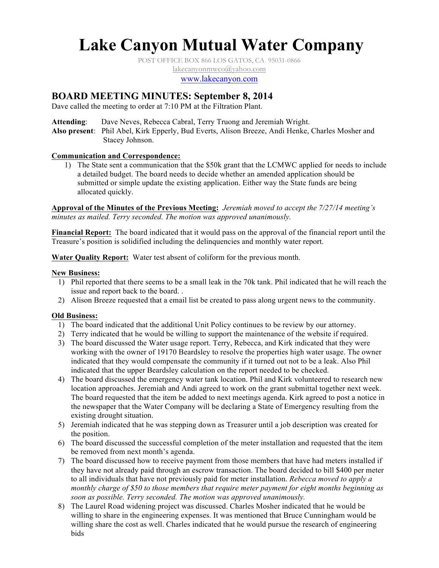# **Lake Canyon Mutual Water Company**

POST OFFICE BOX 866 LOS GATOS, CA 95031-0866

lakecanyonmwco@yahoo.com

www.lakecanyon.com

# **BOARD MEETING MINUTES: September 8, 2014**

Dave called the meeting to order at 7:10 PM at the Filtration Plant.

**Attending**: Dave Neves, Rebecca Cabral, Terry Truong and Jeremiah Wright.

**Also present**: Phil Abel, Kirk Epperly, Bud Everts, Alison Breeze, Andi Henke, Charles Mosher and Stacey Johnson.

# **Communication and Correspondence:**

1) The State sent a communication that the \$50k grant that the LCMWC applied for needs to include a detailed budget. The board needs to decide whether an amended application should be submitted or simple update the existing application. Either way the State funds are being allocated quickly.

**Approval of the Minutes of the Previous Meeting:** *Jeremiah moved to accept the 7/27/14 meeting's minutes as mailed. Terry seconded. The motion was approved unanimously.*

**Financial Report:** The board indicated that it would pass on the approval of the financial report until the Treasure's position is solidified including the delinquencies and monthly water report.

**Water Quality Report:** Water test absent of coliform for the previous month.

## **New Business:**

- 1) Phil reported that there seems to be a small leak in the 70k tank. Phil indicated that he will reach the issue and report back to the board. .
- 2) Alison Breeze requested that a email list be created to pass along urgent news to the community.

# **Old Business:**

- 1) The board indicated that the additional Unit Policy continues to be review by our attorney.
- 2) Terry indicated that he would be willing to support the maintenance of the website if required.
- 3) The board discussed the Water usage report. Terry, Rebecca, and Kirk indicated that they were working with the owner of 19170 Beardsley to resolve the properties high water usage. The owner indicated that they would compensate the community if it turned out not to be a leak. Also Phil indicated that the upper Beardsley calculation on the report needed to be checked.
- 4) The board discussed the emergency water tank location. Phil and Kirk volunteered to research new location approaches. Jeremiah and Andi agreed to work on the grant submittal together next week. The board requested that the item be added to next meetings agenda. Kirk agreed to post a notice in the newspaper that the Water Company will be declaring a State of Emergency resulting from the existing drought situation.
- 5) Jeremiah indicated that he was stepping down as Treasurer until a job description was created for the position.
- 6) The board discussed the successful completion of the meter installation and requested that the item be removed from next month's agenda.
- 7) The board discussed how to receive payment from those members that have had meters installed if they have not already paid through an escrow transaction. The board decided to bill \$400 per meter to all individuals that have not previously paid for meter installation. *Rebecca moved to apply a monthly charge of \$50 to those members that require meter payment for eight months beginning as soon as possible. Terry seconded. The motion was approved unanimously.*
- 8) The Laurel Road widening project was discussed. Charles Mosher indicated that he would be willing to share in the engineering expenses. It was mentioned that Bruce Cunningham would be willing share the cost as well. Charles indicated that he would pursue the research of engineering bids